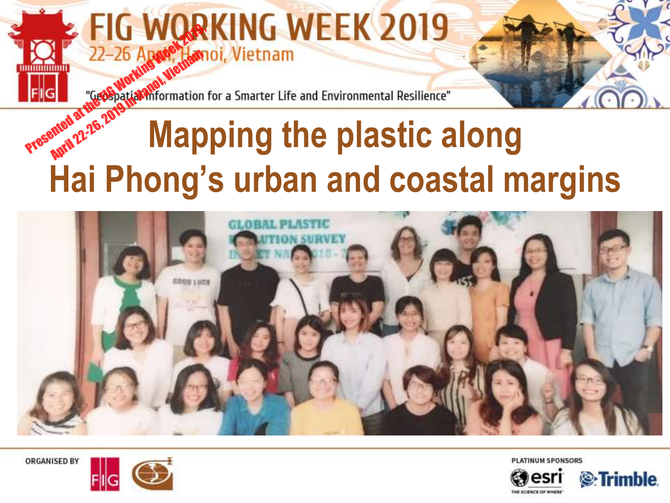# **PIG WORKING WEEK 2019**<br>22–26 Arving Westmann of, Vietnam<br>"Geospatial Miformation for a Smarter Life and Environmental Resilience"

# **Mapping the plastic along** and the plastic along **Hai Phong's urban and coastal margins**



**ORGANISED BY** 



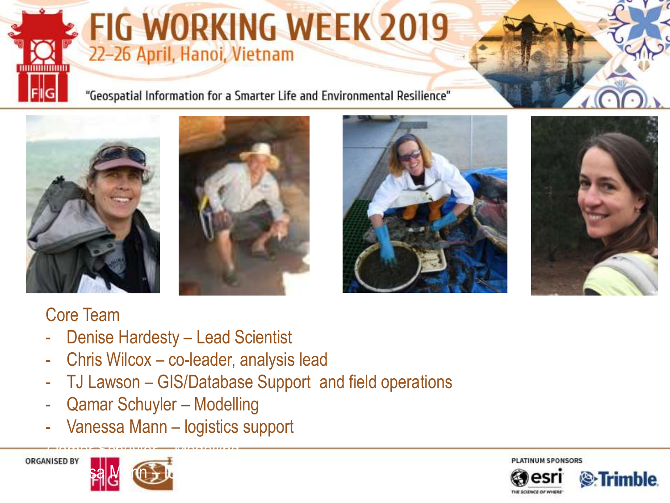"Geospatial Information for a Smarter Life and Environmental Resilience"









#### Involvement from  $\sim$  2 current PhD states in the state of  $\sim$  3 current PhD students are students of  $\sim$  3 current PhD students and  $\sim$  3 current PhD students are studients and  $\sim$  3 current phD students are studients

- Denise Hardesty Lead Scientist
- Chris Wilcox co-leader, analysis lead
- TJ Lawson GIS/Database Support and field operations
- Qamar Schuyler Modelling
- Vanessa Mann logistics support and field operations of



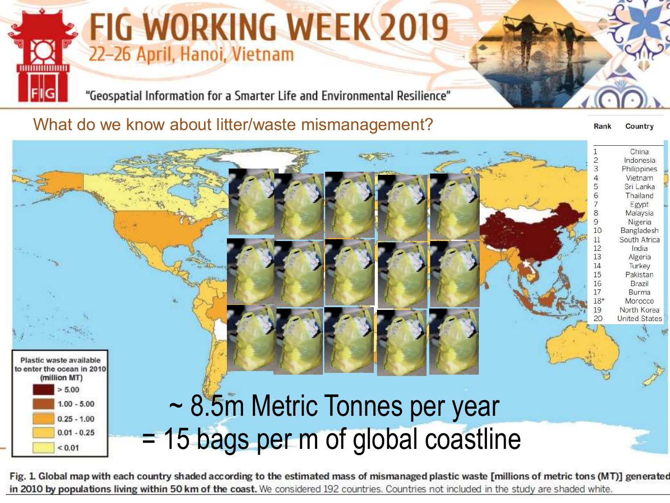"Geospatial Information for a Smarter Life and Environmental Resilience"

#### What do we know about litter/waste mismanagement?

Country Rank



Fig. 1. Global map with each country shaded according to the estimated mass of mismanaged plastic waste [millions of metric tons (MT)] generated in 2010 by populations living within 50 km of the coast. We considered 192 countries. Countries not included in the study are shaded white.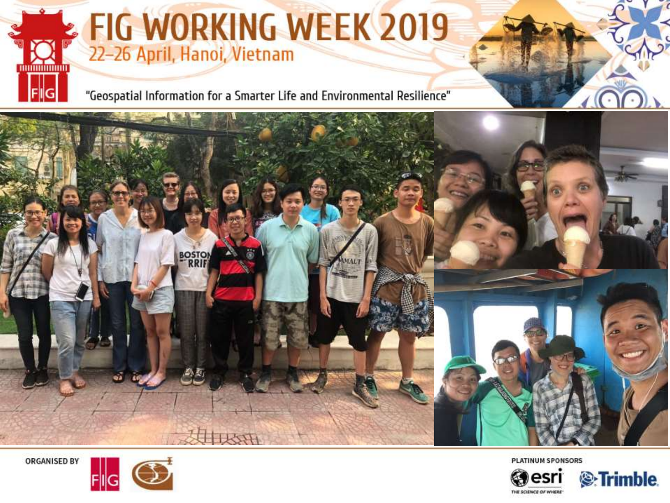# FIG WORKING WEEK 2019

"Geospatial Information for a Smarter Life and Environmental Resilience"



Thummmmm





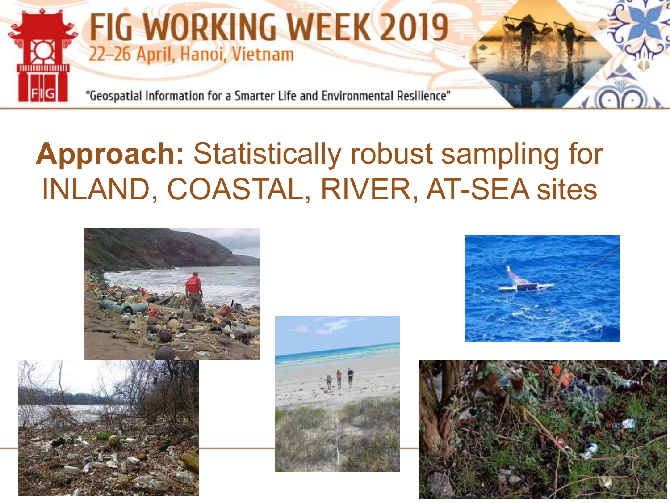

### **Approach:** Statistically robust sampling for INLAND, COASTAL, RIVER, AT-SEA sites

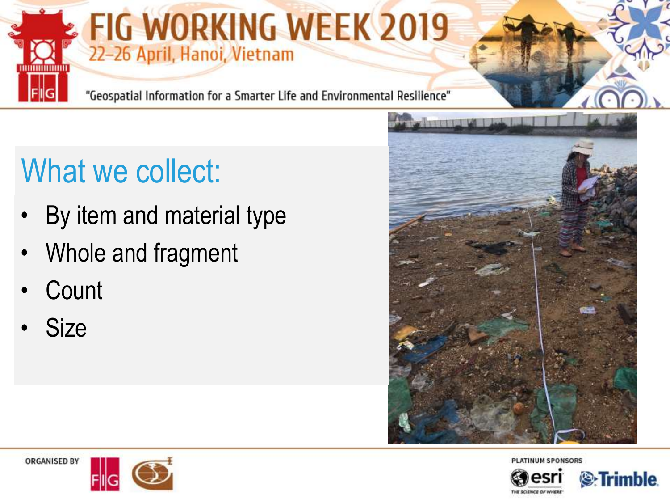"Geospatial Information for a Smarter Life and Environmental Resilience"

#### We collect: What we collect:

- **sampling design** • By item and material type
- e and nagment • Whole and fragment
- Count • Road/Rail networks
- Infrastructure **Size**









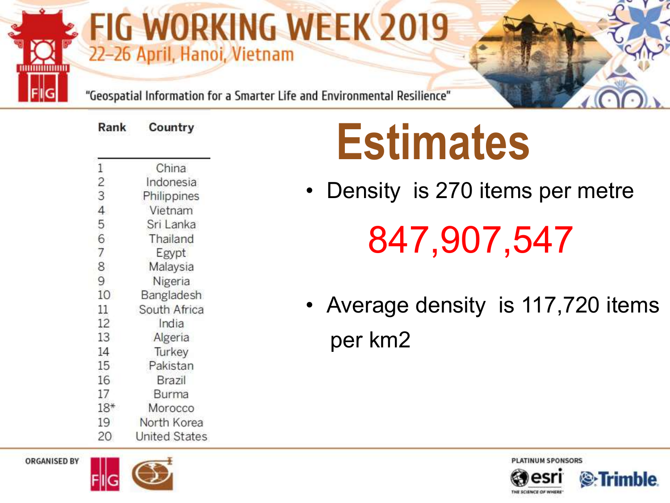"Geospatial Information for a Smarter Life and Environmental Resilience"

| 1              | China                |
|----------------|----------------------|
| $\overline{c}$ | Indonesia            |
| 3              | Philippines          |
| $\overline{4}$ | Vietnam              |
| 5              | Sri Lanka            |
| 6              | Thailand             |
| 7              | Egypt                |
| 8              | Malaysia             |
| 9              | Nigeria              |
| 10             | <b>Bangladesh</b>    |
| 11             | South Africa         |
| 12             | India                |
| 13             | Algeria              |
| 14             | Turkey               |
| 15             | Pakistan             |
| 16             | Brazil               |
| 17             | Burma                |
| $18*$          | Morocco              |
| 19             | North Korea          |
| 20             | <b>United States</b> |

## Rank Country **Estimates**

• Density is 270 items per metre

847,907,547

• Average density is 117,720 items per km2



PLATINUM SPONSORS

**ORGANISED BY** 

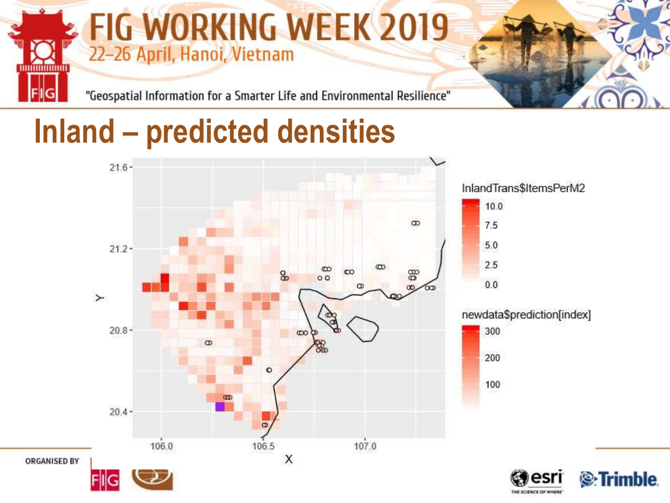"Geospatial Information for a Smarter Life and Environmental Resilience"

### **Inland – predicted densities**

**THATHATHOLDIN** 



THE SCIENCE OF WHERE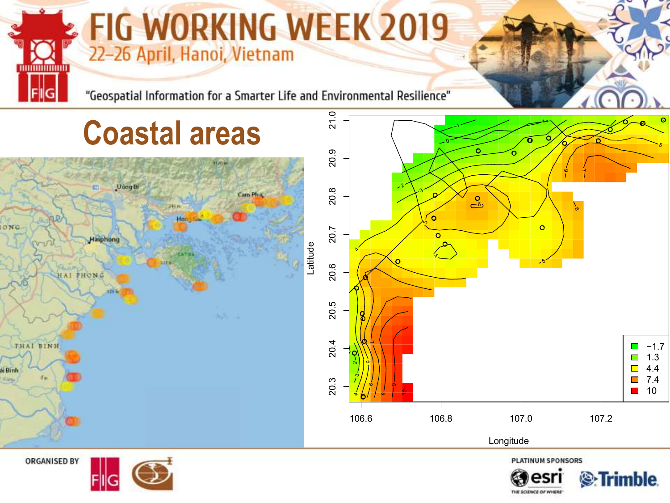#### FIG WORKING WEEK 2019 22-26 April, Hanoi, Vietnam **THATHATHOLDIN**

"Geospatial Information for a Smarter Life and Environmental Resilience"

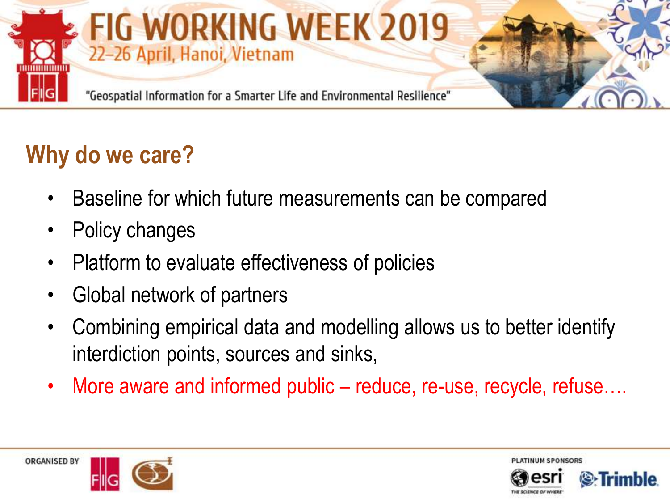

#### **Why do we care?**

- Baseline for which future measurements can be compared
- Policy changes
- Platform to evaluate effectiveness of policies
- Global network of partners
- Combining empirical data and modelling allows us to better identify interdiction points, sources and sinks,
- More aware and informed public reduce, re-use, recycle, refuse....



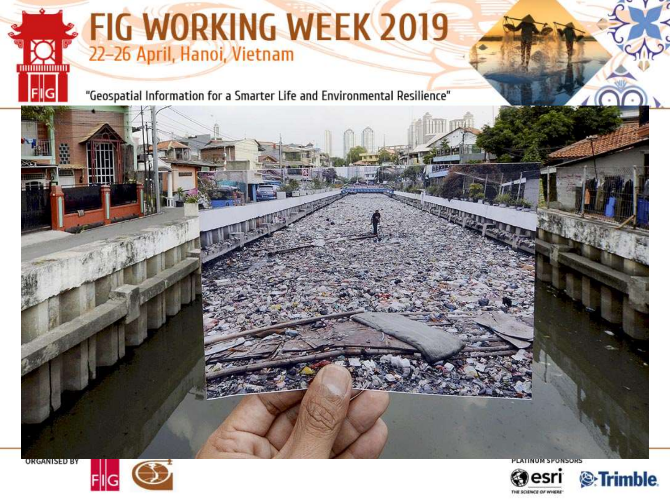# FIG WORKING WEEK 2019

"Geospatial Information for a Smarter Life and Environmental Resilience"



**THOUGHLOUT**